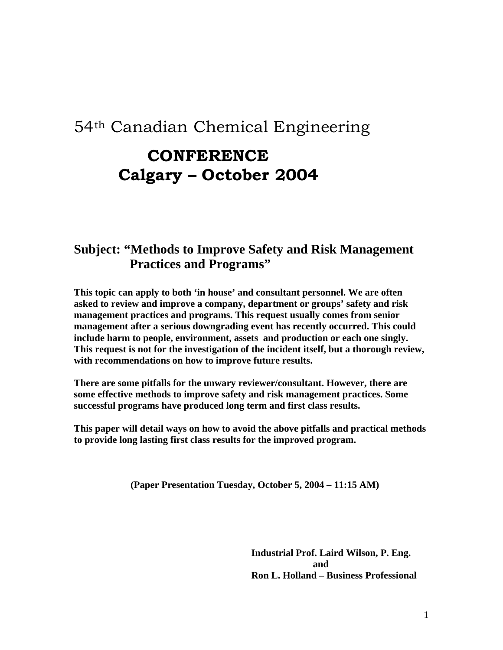#### 54th Canadian Chemical Engineering

### **CONFERENCE Calgary – October 2004**

#### **Subject: "Methods to Improve Safety and Risk Management Practices and Programs"**

**This topic can apply to both 'in house' and consultant personnel. We are often asked to review and improve a company, department or groups' safety and risk management practices and programs. This request usually comes from senior management after a serious downgrading event has recently occurred. This could include harm to people, environment, assets and production or each one singly. This request is not for the investigation of the incident itself, but a thorough review, with recommendations on how to improve future results.**

**There are some pitfalls for the unwary reviewer/consultant. However, there are some effective methods to improve safety and risk management practices. Some successful programs have produced long term and first class results.** 

**This paper will detail ways on how to avoid the above pitfalls and practical methods to provide long lasting first class results for the improved program.** 

 **(Paper Presentation Tuesday, October 5, 2004 – 11:15 AM)** 

 **Industrial Prof. Laird Wilson, P. Eng. and and and Ron L. Holland – Business Professional**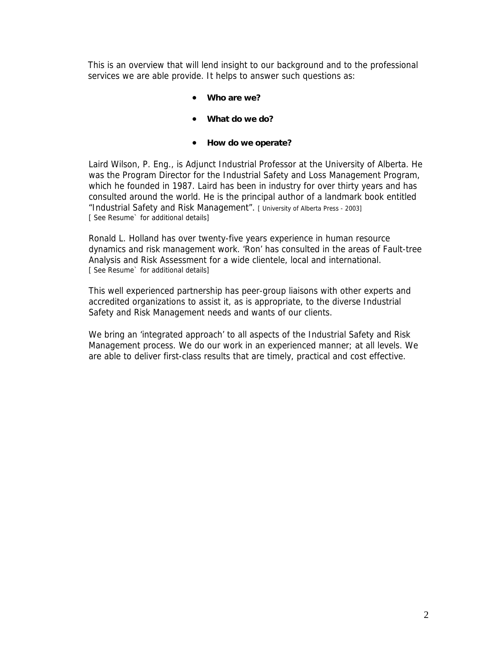This is an overview that will lend insight to our background and to the professional services we are able provide. It helps to answer such questions as:

- **Who are we?**
- **What do we do?**
- **How do we operate?**

Laird Wilson, P. Eng., is Adjunct Industrial Professor at the University of Alberta. He was the Program Director for the Industrial Safety and Loss Management Program, which he founded in 1987. Laird has been in industry for over thirty years and has consulted around the world. He is the principal author of a landmark book entitled "Industrial Safety and Risk Management". [ University of Alberta Press - 2003] [ See Resume` for additional details]

Ronald L. Holland has over twenty-five years experience in human resource dynamics and risk management work. 'Ron' has consulted in the areas of Fault-tree Analysis and Risk Assessment for a wide clientele, local and international. [ See Resume` for additional details]

This well experienced partnership has peer-group liaisons with other experts and accredited organizations to assist it, as is appropriate, to the diverse Industrial Safety and Risk Management needs and wants of our clients.

We bring an 'integrated approach' to all aspects of the Industrial Safety and Risk Management process. We do our work in an experienced manner; at all levels. We are able to deliver first-class results that are timely, practical and cost effective.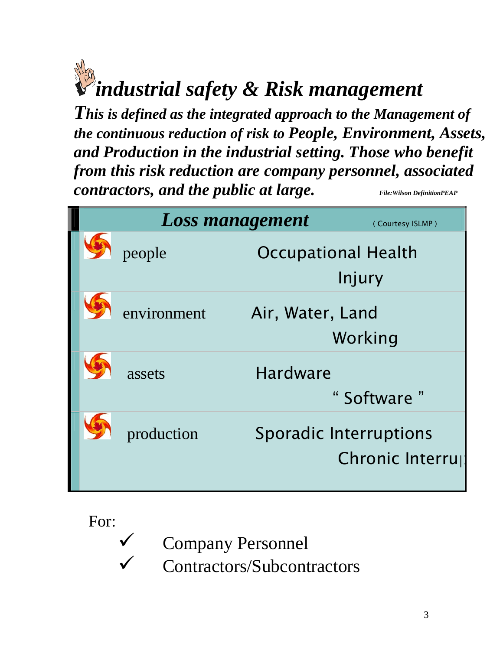## *industrial safety & Risk management*

*This is defined as the integrated approach to the Management of the continuous reduction of risk to People, Environment, Assets, and Production in the industrial setting. Those who benefit from this risk reduction are company personnel, associated contractors, and the public at large.* File: Wilson DefinitionPEAP

| <b>Loss management</b><br>(Courtesy ISLMP) |             |                  |                               |  |
|--------------------------------------------|-------------|------------------|-------------------------------|--|
|                                            | people      |                  | <b>Occupational Health</b>    |  |
|                                            |             |                  | Injury                        |  |
|                                            | environment | Air, Water, Land |                               |  |
|                                            |             |                  | Working                       |  |
|                                            | assets      | <b>Hardware</b>  |                               |  |
|                                            |             |                  | "Software"                    |  |
|                                            | production  |                  | <b>Sporadic Interruptions</b> |  |
|                                            |             |                  | Chronic Interru               |  |
|                                            |             |                  |                               |  |

For:

**Company Personnel** 

Contractors/Subcontractors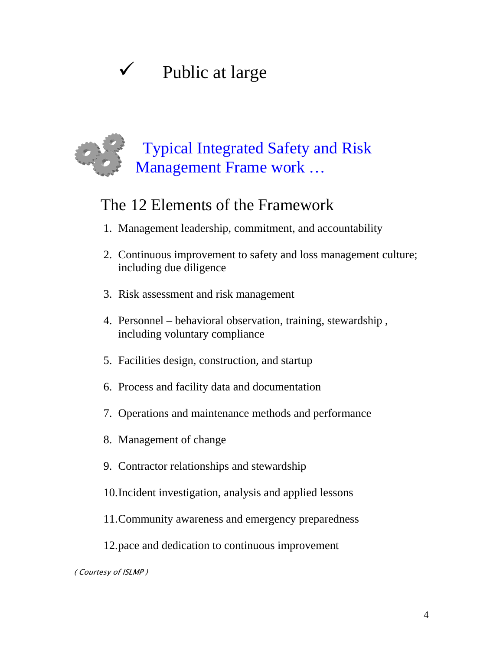## $\checkmark$  Public at large

## **Typical Integrated Safety and Risk** Management Frame work ...

### The 12 Elements of the Framework

- 1. Management leadership, commitment, and accountability
- 2. Continuous improvement to safety and loss management culture; including due diligence
- 3. Risk assessment and risk management
- 4. Personnel behavioral observation, training, stewardship , including voluntary compliance
- 5. Facilities design, construction, and startup
- 6. Process and facility data and documentation
- 7. Operations and maintenance methods and performance
- 8. Management of change
- 9. Contractor relationships and stewardship
- 10. Incident investigation, analysis and applied lessons
- 11. Community awareness and emergency preparedness
- 12. pace and dedication to continuous improvement

( Courtesy of ISLMP )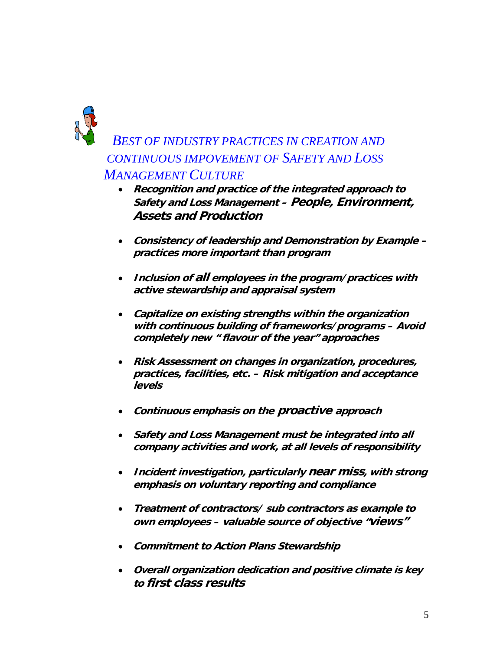

#### *BEST OF INDUSTRY PRACTICES IN CREATION AND CONTINUOUS IMPOVEMENT OF SAFETY AND LOSS MANAGEMENT CULTURE*

- **Recognition and practice of the integrated approach to Safety and Loss Management – People, Environment, Assets and Production**
- **Consistency of leadership and Demonstration by Example practices more important than program**
- **Inclusion of all employees in the program/practices with active stewardship and appraisal system**
- **Capitalize on existing strengths within the organization with continuous building of frameworks/programs – Avoid completely new " flavour of the year" approaches**
- **Risk Assessment on changes in organization, procedures, practices, facilities, etc. – Risk mitigation and acceptance levels**
- **Continuous emphasis on the proactive approach**
- **Safety and Loss Management must be integrated into all company activities and work, at all levels of responsibility**
- **Incident investigation, particularly near miss, with strong emphasis on voluntary reporting and compliance**
- **Treatment of contractors/ sub contractors as example to own employees – valuable source of objective "views"**
- **Commitment to Action Plans Stewardship**
- **Overall organization dedication and positive climate is key to first class results**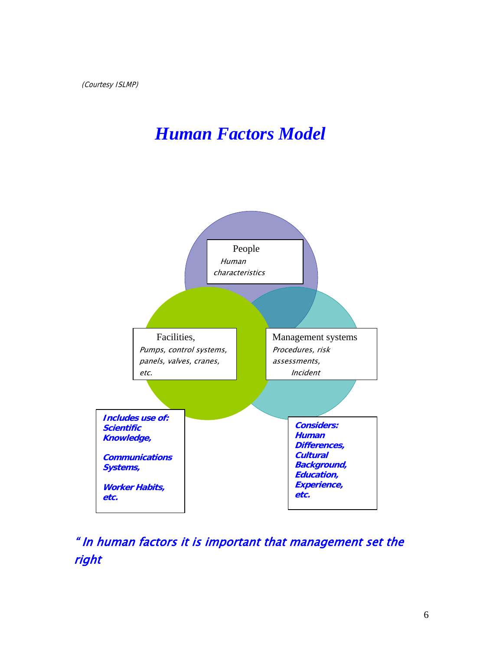### *Human Factors Model*



#### " In human factors it is important that management set the right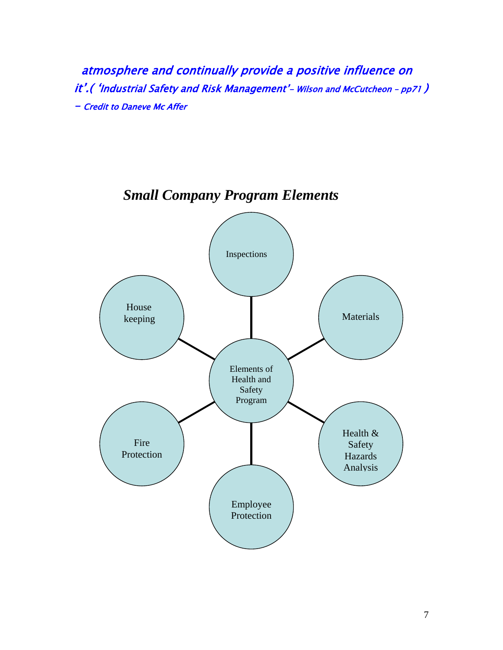atmosphere and continually provide a positive influence on it'.( 'Industrial Safety and Risk Management'– Wilson and McCutcheon – pp71 ) – Credit to Daneve Mc Affer



#### *Small Company Program Elements*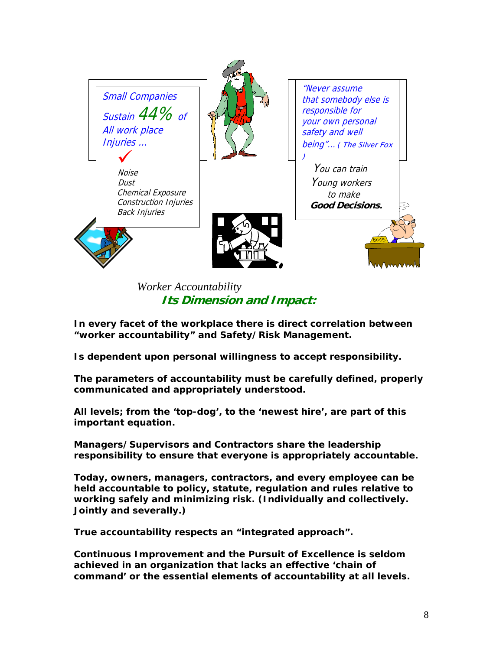

 *Worker Accountability*   **Its Dimension and Impact:**

**In every facet of the workplace there is direct correlation between "worker accountability" and Safety/Risk Management.** 

**Is dependent upon personal willingness to accept responsibility.** 

**The parameters of accountability must be carefully defined, properly communicated and appropriately understood.** 

**All levels; from the 'top-dog', to the 'newest hire', are part of this important equation.** 

**Managers/Supervisors and Contractors share the leadership responsibility to ensure that everyone is appropriately accountable.** 

**Today, owners, managers, contractors, and every employee can be held accountable to policy, statute, regulation and rules relative to working safely and minimizing risk. (Individually and collectively. Jointly and severally.)** 

**True accountability respects an "integrated approach".**

**Continuous Improvement and the Pursuit of Excellence is seldom achieved in an organization that lacks an effective 'chain of command' or the essential elements of accountability at all levels.**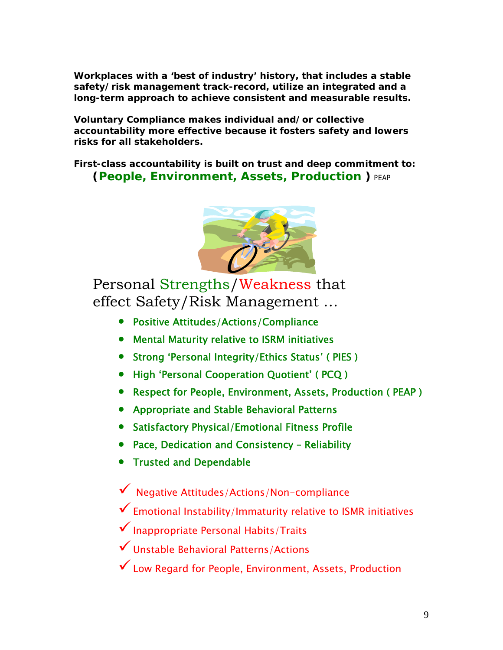**Workplaces with a 'best of industry' history, that includes a stable safety/risk management track-record, utilize an integrated and a long-term approach to achieve consistent and measurable results.** 

**Voluntary Compliance makes individual and/or collective accountability more effective because it fosters safety and lowers risks for all stakeholders.** 

**First-class accountability is built on trust and deep commitment to: (People, Environment, Assets, Production )** PEAP



 Personal Strengths/Weakness that effect Safety/Risk Management …

- Positive Attitudes/Actions/Compliance
- Mental Maturity relative to ISRM initiatives
- Strong 'Personal Integrity/Ethics Status' ( PIES )
- High 'Personal Cooperation Quotient' ( PCQ )
- Respect for People, Environment, Assets, Production ( PEAP )
- Appropriate and Stable Behavioral Patterns
- Satisfactory Physical/Emotional Fitness Profile
- Pace, Dedication and Consistency Reliability
- Trusted and Dependable

 $\checkmark$  Negative Attitudes/Actions/Non-compliance

- $\checkmark$  Emotional Instability/Immaturity relative to ISMR initiatives
- $\checkmark$  Inappropriate Personal Habits/Traits
- 9 Unstable Behavioral Patterns/Actions
- $\checkmark$  Low Regard for People, Environment, Assets, Production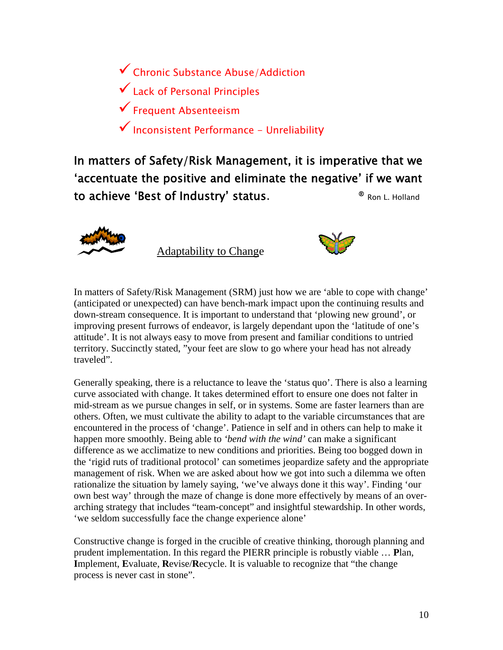9 Chronic Substance Abuse/Addiction  $\checkmark$  Lack of Personal Principles  $\checkmark$  Frequent Absenteeism  $\checkmark$  Inconsistent Performance - Unreliability

'accentuate the positive and eliminate the negative' if we want to achieve 'Best of Industry' status.  $\blacksquare$  Ron L. Holland In matters of Safety/Risk Management, it is imperative that we



Adaptability to Change



In matters of Safety/Risk Management (SRM) just how we are 'able to cope with chang e' (anticipated or unexpected) can have bench-mark impact upon the continuing results an d down-strea m consequence. It is important to understand that 'plowing new ground', or improving present furrows of endeavor, is largely dependant upon the 'latitude of one's attitude'. It is not always easy to move from present and familiar conditions to untried territory. Succinctly stated, "your feet are slow to go where your head has not already traveled".

curve associated with change. It takes determined effort to ensure one does not falter in management of risk. When we are asked about how we got into such a dilemma we often rationalize the situation by lamely saying, 'we've always done it this way'. Finding 'our arching strategy that includes "team-concept" and insightful stewardship. In other words, Generally speaking, there is a reluctance to leave the 'status quo'. There is also a learning mid-stream as we pursue changes in self, or in systems. Some are faster learners than are others. Often, we must cultivate the ability to adapt to the variable circumstances that are encountered in the process of 'change'. Patience in self and in others can help to make it happen more smoothly. Being able to *'bend with the wind'* can make a significant difference as we acclimatize to new conditions and priorities. Being too bogged down in the 'rigid ruts of traditional protocol' can sometimes jeopardize safety and the appropriate own best way' through the maze of change is done more effectively by means of an over-'we seldom successfully face the change experience alone'

Constructive change is forged in the crucible of creative thinking, thorough planning and prudent implementation. In this regard the PIERR principle is robustly viable … **P**lan, **I**mplement, **E**valuate, **R**evise/**R**ecycle. It is valuable to recognize that "the change process is never cast in stone".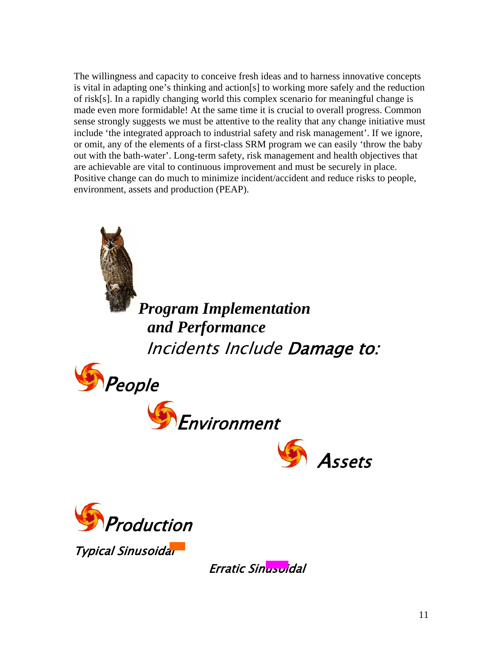The willingness and capacity to conceive fresh ideas and to harness innovative concepts is vital in adapting one's thinking and action[s] to working more safely and the reduction of risk[s]. In a rapidly changing world this complex scenario for meaningful change is made even more formidable! At the same time it is crucial to overall progress. Common sense strongly suggests we must be attentive to the reality that any change initiative must include 'the integrated approach to industrial safety and risk management'. If we ignore, or omit, any of the elements of a first-class SRM program we can easily 'throw the baby out with the bath-water'. Long-term safety, risk management and health objectives that are achievable are vital to continuous improvement and must be securely in place. Positive change can do much to minimize incident/accident and reduce risks to people, environment, assets and production (PEAP).



*Program Implementation rformance and Pe* Incidents Include **Damage to:** 









Typical Sinusoidar

Erratic Sinusoidal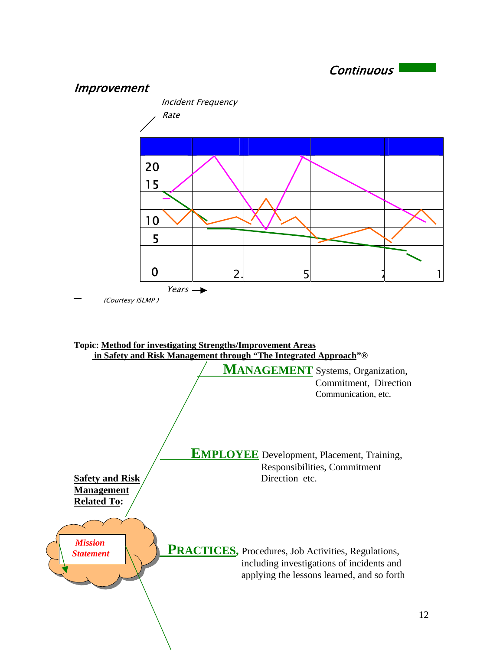

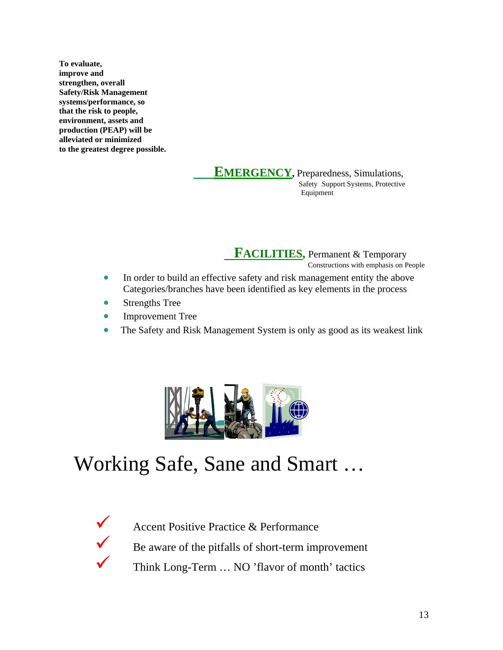**To evaluate, improve and strengthen, overall Safety/Risk Management systems/performance, so that the risk to people, environment, assets and production (PEAP) will be alleviated or minimized to the greatest degree possible.** 

#### **E EMERGENCY**, Preparedness, Simulations,

 Safety Support Systems, Protective Equipment

**FACILITIES**, Permanent & Temporary

Constructions with emphasis on People

- In order to build an effective safety and risk management entity the above Categories/branches have been identified as key elements in the process
- Strengths Tree
- Improvement Tree •
- The Safety and Risk Management System is only as good as its weakest link



## Working Safe, Sane and Smart …



 $\checkmark$  Be aware of the pitfalls of short-term improvement  $\checkmark$  Think Long-Term ... NO 'flavor of month' tactics Accent Positive Practice & Performance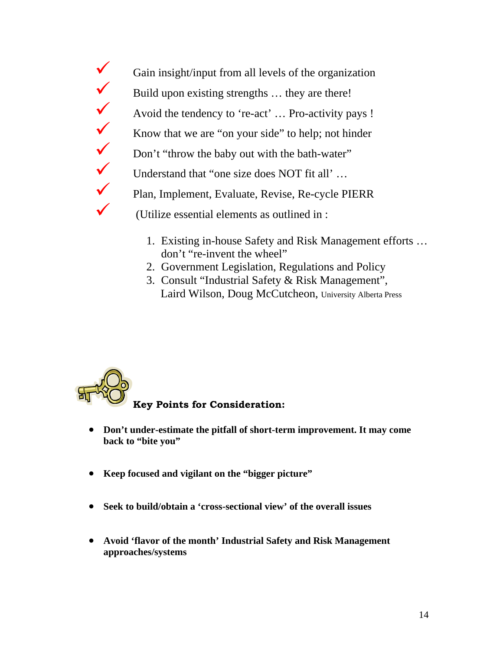$\checkmark$  Gain insight/input from all levels of the organization  $\checkmark$  $\checkmark$ Know that we are "on your side" to help; not hinder Y Don't "throw the baby out with the bath-water" Understand that "one size does NOT fit all' ... 9 Plan, Implement, Evaluate, Revise, Re-cycle PIERR (Utilize essential elements as outlined in : Build upon existing strengths ... they are there! Avoid the tendency to 're-act' ... Pro-activity pays !

- 1. Existing in-house Safety and Risk Management efforts … don't "re-invent the wheel"
- 2. Government Legislation, Regulations and Policy
- Laird Wilson, Doug McCutcheon, University Alberta Press 3. Consult "Industrial Safety & Risk Management",

# **Key Points for Consideration:**

- **Don't under-estimate the pitfall of short-term improvement. It may come back to "bite you"**
- **Keep focused and vigilant on the "bigger picture"**
- **Seek to build/obtain a 'cross-sectional view' of the overall issues**
- **Avoid 'flavor of the month' Industrial Safety and Risk Management approaches/systems**